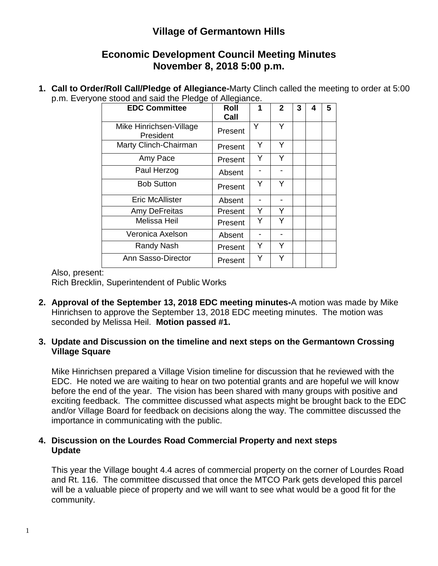## **Village of Germantown Hills**

## **Economic Development Council Meeting Minutes November 8, 2018 5:00 p.m.**

**1. Call to Order/Roll Call/Pledge of Allegiance-**Marty Clinch called the meeting to order at 5:00 p.m. Everyone stood and said the Pledge of Allegiance.

| <b>EDC Committee</b>                 | <b>Roll</b><br>Call | 1 | 2 | 3 | 4 | 5 |
|--------------------------------------|---------------------|---|---|---|---|---|
| Mike Hinrichsen-Village<br>President | Present             | Y | Υ |   |   |   |
| Marty Clinch-Chairman                | Present             | Y | Υ |   |   |   |
| Amy Pace                             | Present             | Y | Y |   |   |   |
| Paul Herzog                          | Absent              |   |   |   |   |   |
| <b>Bob Sutton</b>                    | Present             | Y | Y |   |   |   |
| <b>Eric McAllister</b>               | Absent              |   |   |   |   |   |
| Amy DeFreitas                        | Present             | Y | Y |   |   |   |
| Melissa Heil                         | Present             | Y |   |   |   |   |
| Veronica Axelson                     | Absent              |   |   |   |   |   |
| Randy Nash                           | Present             | Y | Y |   |   |   |
| Ann Sasso-Director                   | Present             | Y | Y |   |   |   |

Also, present:

Rich Brecklin, Superintendent of Public Works

**2. Approval of the September 13, 2018 EDC meeting minutes-**A motion was made by Mike Hinrichsen to approve the September 13, 2018 EDC meeting minutes. The motion was seconded by Melissa Heil. **Motion passed #1.**

## **3. Update and Discussion on the timeline and next steps on the Germantown Crossing Village Square**

Mike Hinrichsen prepared a Village Vision timeline for discussion that he reviewed with the EDC. He noted we are waiting to hear on two potential grants and are hopeful we will know before the end of the year. The vision has been shared with many groups with positive and exciting feedback. The committee discussed what aspects might be brought back to the EDC and/or Village Board for feedback on decisions along the way. The committee discussed the importance in communicating with the public.

## **4. Discussion on the Lourdes Road Commercial Property and next steps Update**

This year the Village bought 4.4 acres of commercial property on the corner of Lourdes Road and Rt. 116. The committee discussed that once the MTCO Park gets developed this parcel will be a valuable piece of property and we will want to see what would be a good fit for the community.